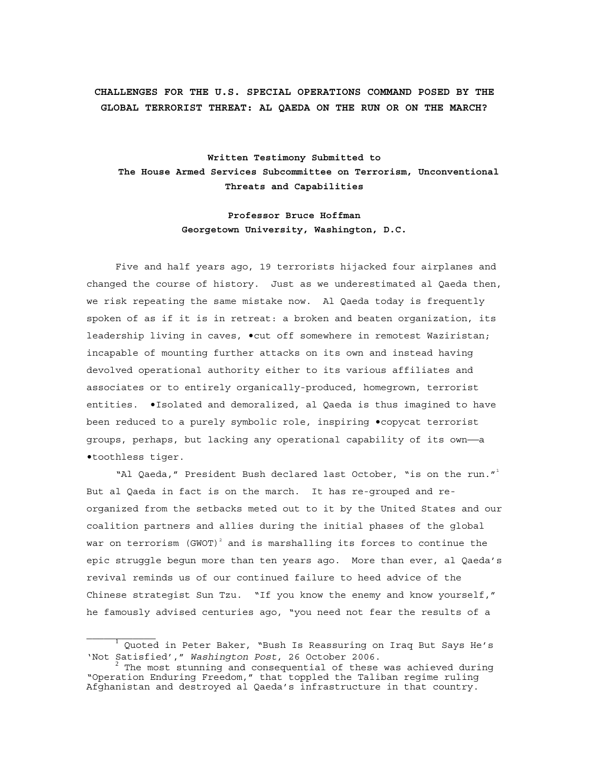# **CHALLENGES FOR THE U.S. SPECIAL OPERATIONS COMMAND POSED BY THE GLOBAL TERRORIST THREAT: AL QAEDA ON THE RUN OR ON THE MARCH?**

## **Written Testimony Submitted to The House Armed Services Subcommittee on Terrorism, Unconventional Threats and Capabilities**

**Professor Bruce Hoffman Georgetown University, Washington, D.C.**

Five and half years ago, 19 terrorists hijacked four airplanes and changed the course of history. Just as we underestimated al Qaeda then, we risk repeating the same mistake now. Al Qaeda today is frequently spoken of as if it is in retreat: a broken and beaten organization, its leadership living in caves, •cut off somewhere in remotest Waziristan; incapable of mounting further attacks on its own and instead having devolved operational authority either to its various affiliates and associates or to entirely organically-produced, homegrown, terrorist entities. •Isolated and demoralized, al Qaeda is thus imagined to have been reduced to a purely symbolic role, inspiring •copycat terrorist groups, perhaps, but lacking any operational capability of its own——a •toothless tiger.

"Al Qaeda," President Bush declared last October, "is on the run."<sup>1</sup> But al Qaeda in fact is on the march. It has re-grouped and reorganized from the setbacks meted out to it by the United States and our coalition partners and allies during the initial phases of the global war on terrorism (GWOT) $^2$  and is marshalling its forces to continue the epic struggle begun more than ten years ago. More than ever, al Qaeda's revival reminds us of our continued failure to heed advice of the Chinese strategist Sun Tzu. "If you know the enemy and know yourself," he famously advised centuries ago, "you need not fear the results of a

<span id="page-0-0"></span>\_\_\_\_\_\_\_\_\_\_\_\_ <sup>1</sup> Quoted in Peter Baker, "Bush Is Reassuring on Iraq But Says He's 'Not Satisfied'," Washington Post, 26 October 2006.

<span id="page-0-1"></span> $2$  The most stunning and consequential of these was achieved during "Operation Enduring Freedom," that toppled the Taliban regime ruling Afghanistan and destroyed al Qaeda's infrastructure in that country.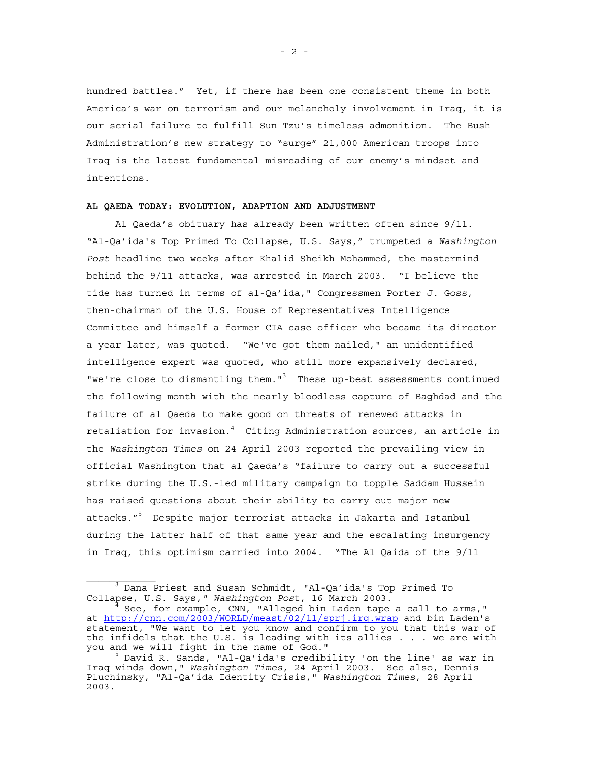hundred battles." Yet, if there has been one consistent theme in both America's war on terrorism and our melancholy involvement in Iraq, it is our serial failure to fulfill Sun Tzu's timeless admonition. The Bush Administration's new strategy to "surge" 21,000 American troops into Iraq is the latest fundamental misreading of our enemy's mindset and intentions.

### **AL QAEDA TODAY: EVOLUTION, ADAPTION AND ADJUSTMENT**

Al Qaeda's obituary has already been written often since 9/11. "Al-Qa'ida's Top Primed To Collapse, U.S. Says," trumpeted a *Washington Post* headline two weeks after Khalid Sheikh Mohammed, the mastermind behind the 9/11 attacks, was arrested in March 2003. "I believe the tide has turned in terms of al-Qa'ida," Congressmen Porter J. Goss, then-chairman of the U.S. House of Representatives Intelligence Committee and himself a former CIA case officer who became its director a year later, was quoted. "We've got them nailed," an unidentified intelligence expert was quoted, who still more expansively declared, "we're close to dismantling them." $3$  These up-beat assessments continued the following month with the nearly bloodless capture of Baghdad and the failure of al Qaeda to make good on threats of renewed attacks in retaliation for invasion.[4](#page-1-1) Citing Administration sources, an article in the *Washington Times* on 24 April 2003 reported the prevailing view in official Washington that al Qaeda's "failure to carry out a successful strike during the U.S.-led military campaign to topple Saddam Hussein has raised questions about their ability to carry out major new attacks."<sup>[5](#page-1-2)</sup> Despite major terrorist attacks in Jakarta and Istanbul during the latter half of that same year and the escalating insurgency in Iraq, this optimism carried into 2004. "The Al Qaida of the 9/11

 $- 2 -$ 

<span id="page-1-0"></span>wa and Susan Schmidt, "Al-Qa'ida's Top Primed To Collapse, U.S. Says*," Washington Pos*t, 16 March 2003. <sup>4</sup>

<span id="page-1-1"></span>See, for example, CNN, "Alleged bin Laden tape a call to arms," at<http://cnn.com/2003/WORLD/meast/02/11/sprj.irq.wrap> and bin Laden's statement, "We want to let you know and confirm to you that this war of the infidels that the U.S. is leading with its allies . . . we are with you and we will fight in the name of God."

<span id="page-1-2"></span> $^5$  David R. Sands, "Al-Qa'ida's credibility 'on the line' as war in Iraq winds down," *Washington Times*, 24 April 2003. See also, Dennis Pluchinsky, "Al-Qa'ida Identity Crisis," *Washington Times*, 28 April 2003.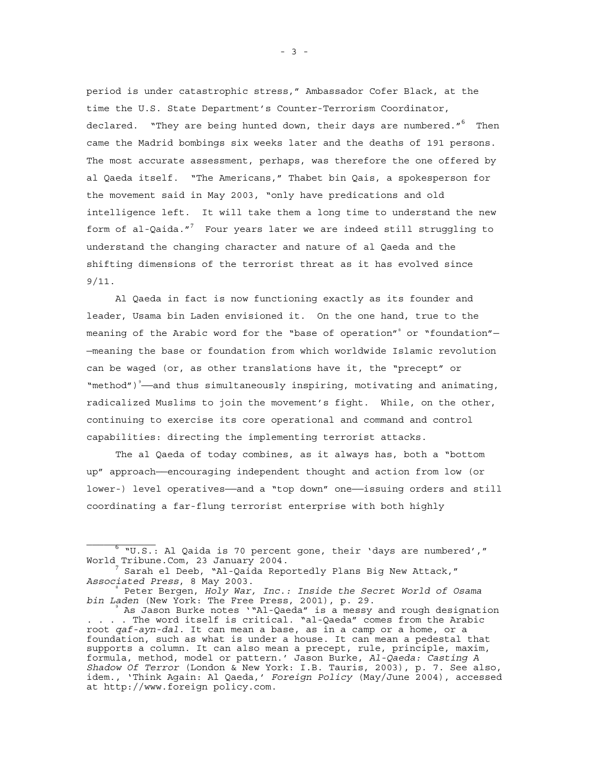period is under catastrophic stress," Ambassador Cofer Black, at the time the U.S. State Department's Counter-Terrorism Coordinator, declared. "They are being hunted down, their days are numbered." $^6$  $^6$  Then came the Madrid bombings six weeks later and the deaths of 191 persons. The most accurate assessment, perhaps, was therefore the one offered by al Qaeda itself. "The Americans," Thabet bin Qais, a spokesperson for the movement said in May 2003, "only have predications and old intelligence left. It will take them a long time to understand the new form of al-Qaida."<sup>[7](#page-2-1)</sup> Four years later we are indeed still struggling to understand the changing character and nature of al Qaeda and the shifting dimensions of the terrorist threat as it has evolved since 9/11.

Al Qaeda in fact is now functioning exactly as its founder and leader, Usama bin Laden envisioned it. On the one hand, true to the meaning of the Arabic word for the "base of operation"<sup>8</sup> or "foundation"-—meaning the base or foundation from which worldwide Islamic revolution can be waged (or, as other translations have it, the "precept" or "method")<sup>9</sup>—and thus simultaneously inspiring, motivating and animating, radicalized Muslims to join the movement's fight. While, on the other, continuing to exercise its core operational and command and control capabilities: directing the implementing terrorist attacks.

The al Qaeda of today combines, as it always has, both a "bottom up" approach——encouraging independent thought and action from low (or lower-) level operatives—and a "top down" one—issuing orders and still coordinating a far-flung terrorist enterprise with both highly

 $-3 -$ 

<span id="page-2-0"></span>www.communisty-communisty-communisty-communisty-communisty-communisty-communisty-communisty-communisty-communisty-<br>The communisty-communisty-communisty-communisty-communisty-communisty-communisty-communisty-communisty-comm World Tribune.Com, 23 January 2004.

<span id="page-2-1"></span> $^7$  Sarah el Deeb, "Al-Qaida Reportedly Plans Big New Attack," Associated Press, 8 May 2003.

<span id="page-2-2"></span>Peter Bergen, *Holy War, Inc.: Inside the Secret World of Osama bin Laden* (New York: The Free Press, 2001), p. 29.

<span id="page-2-3"></span>As Jason Burke notes '"Al-Qaeda" is a messy and rough designation . . . . The word itself is critical. "al-Qaeda" comes from the Arabic root *qaf-ayn-dal*. It can mean a base, as in a camp or a home, or a foundation, such as what is under a house. It can mean a pedestal that supports a column. It can also mean a precept, rule, principle, maxim, formula, method, model or pattern.' Jason Burke, *Al-Qaeda: Casting A Shadow Of Terror* (London & New York: I.B. Tauris, 2003), p. 7. See also, idem., 'Think Again: Al Qaeda,' *Foreign Policy* (May/June 2004), accessed at http://www.foreign policy.com.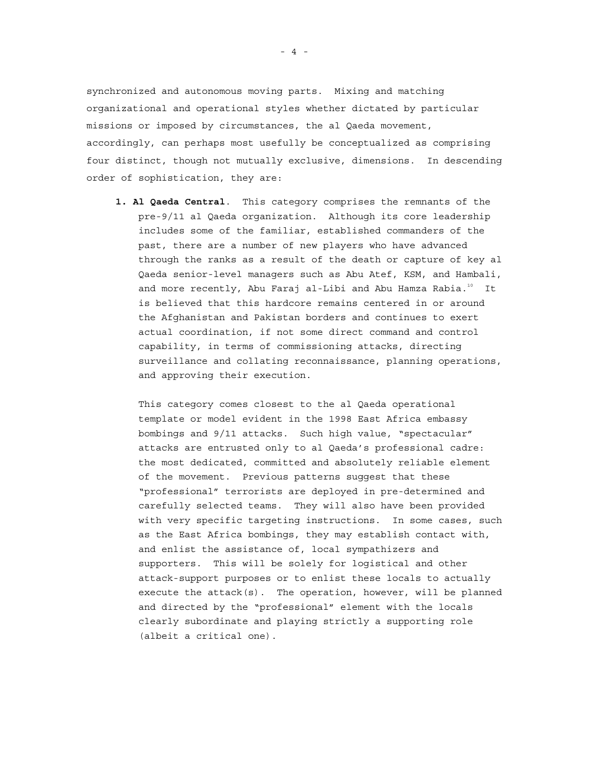synchronized and autonomous moving parts. Mixing and matching organizational and operational styles whether dictated by particular missions or imposed by circumstances, the al Qaeda movement, accordingly, can perhaps most usefully be conceptualized as comprising four distinct, though not mutually exclusive, dimensions. In descending order of sophistication, they are:

**1. Al Qaeda Central**. This category comprises the remnants of the pre-9/11 al Qaeda organization. Although its core leadership includes some of the familiar, established commanders of the past, there are a number of new players who have advanced through the ranks as a result of the death or capture of key al Qaeda senior-level managers such as Abu Atef, KSM, and Hambali, and more recently, Abu Faraj al-Libi and Abu Hamza Rabia.<sup>10</sup> It is believed that this hardcore remains centered in or around the Afghanistan and Pakistan borders and continues to exert actual coordination, if not some direct command and control capability, in terms of commissioning attacks, directing surveillance and collating reconnaissance, planning operations, and approving their execution.

<span id="page-3-0"></span>This category comes closest to the al Qaeda operational template or model evident in the 1998 East Africa embassy bombings and 9/11 attacks. Such high value, "spectacular" attacks are entrusted only to al Qaeda's professional cadre: the most dedicated, committed and absolutely reliable element of the movement. Previous patterns suggest that these "professional" terrorists are deployed in pre-determined and carefully selected teams. They will also have been provided with very specific targeting instructions. In some cases, such as the East Africa bombings, they may establish contact with, and enlist the assistance of, local sympathizers and supporters. This will be solely for logistical and other attack-support purposes or to enlist these locals to actually execute the attack(s). The operation, however, will be planned and directed by the "professional" element with the locals clearly subordinate and playing strictly a supporting role (albeit a critical one).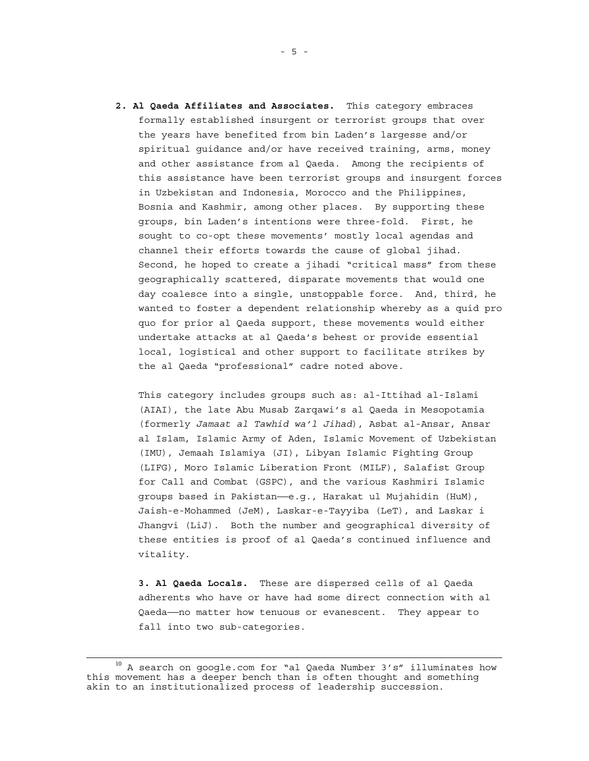**2. Al Qaeda Affiliates and Associates.** This category embraces formally established insurgent or terrorist groups that over the years have benefited from bin Laden's largesse and/or spiritual guidance and/or have received training, arms, money and other assistance from al Qaeda. Among the recipients of this assistance have been terrorist groups and insurgent forces in Uzbekistan and Indonesia, Morocco and the Philippines, Bosnia and Kashmir, among other places. By supporting these groups, bin Laden's intentions were three-fold. First, he sought to co-opt these movements' mostly local agendas and channel their efforts towards the cause of global jihad. Second, he hoped to create a jihadi "critical mass" from these geographically scattered, disparate movements that would one day coalesce into a single, unstoppable force. And, third, he wanted to foster a dependent relationship whereby as a quid pro quo for prior al Qaeda support, these movements would either undertake attacks at al Qaeda's behest or provide essential local, logistical and other support to facilitate strikes by the al Qaeda "professional" cadre noted above.

 This category includes groups such as: al-Ittihad al-Islami (AIAI), the late Abu Musab Zarqawi's al Qaeda in Mesopotamia (formerly *Jamaat al Tawhid wa'l Jihad*), Asbat al-Ansar, Ansar al Islam, Islamic Army of Aden, Islamic Movement of Uzbekistan (IMU), Jemaah Islamiya (JI), Libyan Islamic Fighting Group (LIFG), Moro Islamic Liberation Front (MILF), Salafist Group for Call and Combat (GSPC), and the various Kashmiri Islamic groups based in Pakistan—e.g., Harakat ul Mujahidin (HuM), Jaish-e-Mohammed (JeM), Laskar-e-Tayyiba (LeT), and Laskar i Jhangvi (LiJ). Both the number and geographical diversity of these entities is proof of al Qaeda's continued influence and vitality.

**3. Al Qaeda Locals.** These are dispersed cells of al Qaeda adherents who have or have had some direct connection with al Qaeda——no matter how tenuous or evanescent. They appear to fall into two sub-categories.

 $10$  A search on google.com for "al Qaeda Number  $3's''$  illuminates how this movement has a deeper bench than is often thought and something akin to an institutionalized process of leadership succession.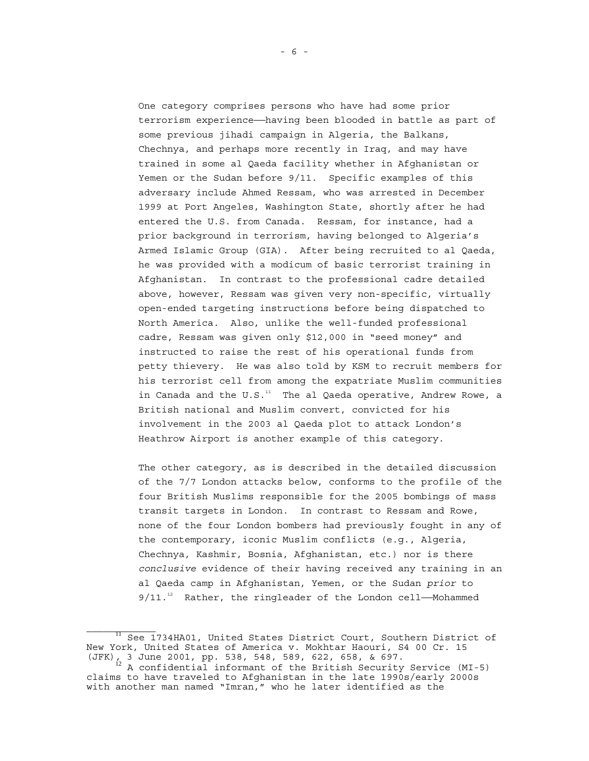One category comprises persons who have had some prior terrorism experience——having been blooded in battle as part of some previous jihadi campaign in Algeria, the Balkans, Chechnya, and perhaps more recently in Iraq, and may have trained in some al Qaeda facility whether in Afghanistan or Yemen or the Sudan before 9/11. Specific examples of this adversary include Ahmed Ressam, who was arrested in December 1999 at Port Angeles, Washington State, shortly after he had entered the U.S. from Canada. Ressam, for instance, had a prior background in terrorism, having belonged to Algeria's Armed Islamic Group (GIA). After being recruited to al Qaeda, he was provided with a modicum of basic terrorist training in Afghanistan. In contrast to the professional cadre detailed above, however, Ressam was given very non-specific, virtually open-ended targeting instructions before being dispatched to North America. Also, unlike the well-funded professional cadre, Ressam was given only \$12,000 in "seed money" and instructed to raise the rest of his operational funds from petty thievery. He was also told by KSM to recruit members for his terrorist cell from among the expatriate Muslim communities in Canada and the  $U.S.^{11}$  The al Qaeda operative, Andrew Rowe, a British national and Muslim convert, convicted for his involvement in the 2003 al Qaeda plot to attack London's Heathrow Airport is another example of this category.

The other category, as is described in the detailed discussion of the 7/7 London attacks below, conforms to the profile of the four British Muslims responsible for the 2005 bombings of mass transit targets in London. In contrast to Ressam and Rowe, none of the four London bombers had previously fought in any of the contemporary, iconic Muslim conflicts (e.g., Algeria, Chechnya, Kashmir, Bosnia, Afghanistan, etc.) nor is there *conclusive* evidence of their having received any training in an al Qaeda camp in Afghanistan, Yemen, or the Sudan *prior* to  $9/11.^{12}$  Rather, the ringleader of the London cell-Mohammed

<span id="page-5-0"></span><sup>&</sup>lt;sup>II</sup> See 1734HA01, United States District Court, Southern District of New York, United States of America v. Mokhtar Haouri, S4 00 Cr. 15 (JFK), 3 June 2001, pp. 538, 548, 589, 622, 658, & 697.<br><sup>12</sup> A confidential informant of the British Security Service (MI-5)

<span id="page-5-1"></span>claims to have traveled to Afghanistan in the late 1990s/early 2000s with another man named "Imran," who he later identified as the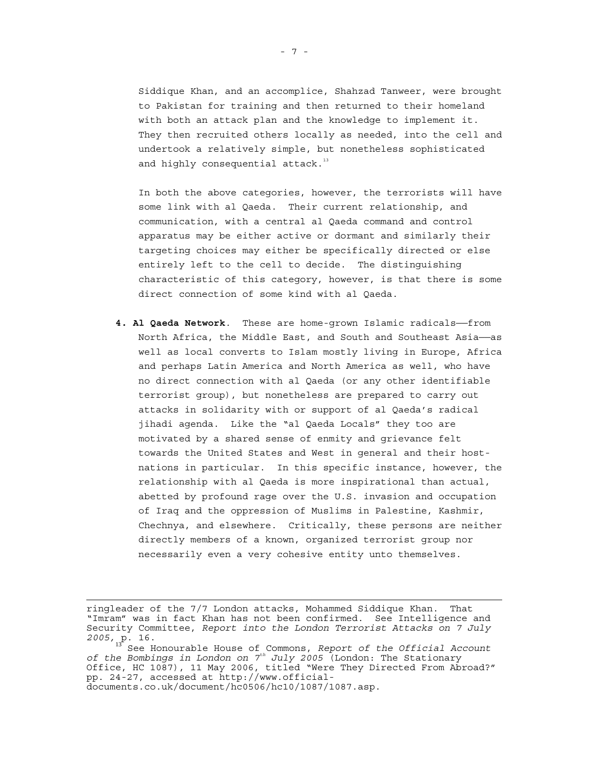Siddique Khan, and an accomplice, Shahzad Tanweer, were brought to Pakistan for training and then returned to their homeland with both an attack plan and the knowledge to implement it. They then recruited others locally as needed, into the cell and undertook a relatively simple, but nonetheless sophisticated and highly consequential attack.<sup>13</sup>

In both the above categories, however, the terrorists will have some link with al Qaeda. Their current relationship, and communication, with a central al Qaeda command and control apparatus may be either active or dormant and similarly their targeting choices may either be specifically directed or else entirely left to the cell to decide. The distinguishing characteristic of this category, however, is that there is some direct connection of some kind with al Qaeda.

**4. Al Qaeda Network***.* These are home-grown Islamic radicals——from North Africa, the Middle East, and South and Southeast Asia——as well as local converts to Islam mostly living in Europe, Africa and perhaps Latin America and North America as well, who have no direct connection with al Qaeda (or any other identifiable terrorist group), but nonetheless are prepared to carry out attacks in solidarity with or support of al Qaeda's radical jihadi agenda. Like the "al Qaeda Locals" they too are motivated by a shared sense of enmity and grievance felt towards the United States and West in general and their hostnations in particular. In this specific instance, however, the relationship with al Qaeda is more inspirational than actual, abetted by profound rage over the U.S. invasion and occupation of Iraq and the oppression of Muslims in Palestine, Kashmir, Chechnya, and elsewhere. Critically, these persons are neither directly members of a known, organized terrorist group nor necessarily even a very cohesive entity unto themselves.

L,

- 7 -

ringleader of the 7/7 London attacks, Mohammed Siddique Khan. That "Imram" was in fact Khan has not been confirmed. See Intelligence and Security Committee, *Report into the London Terrorist Attacks on 7 July 2005,* p. 16.

<span id="page-6-0"></span><sup>13</sup> See Honourable House of Commons, *Report of the Official Account of the Bombings in London on 7th July 2005* (London: The Stationary Office, HC 1087), 11 May 2006, titled "Were They Directed From Abroad?" pp. 24-27, accessed at http://www.officialdocuments.co.uk/document/hc0506/hc10/1087/1087.asp.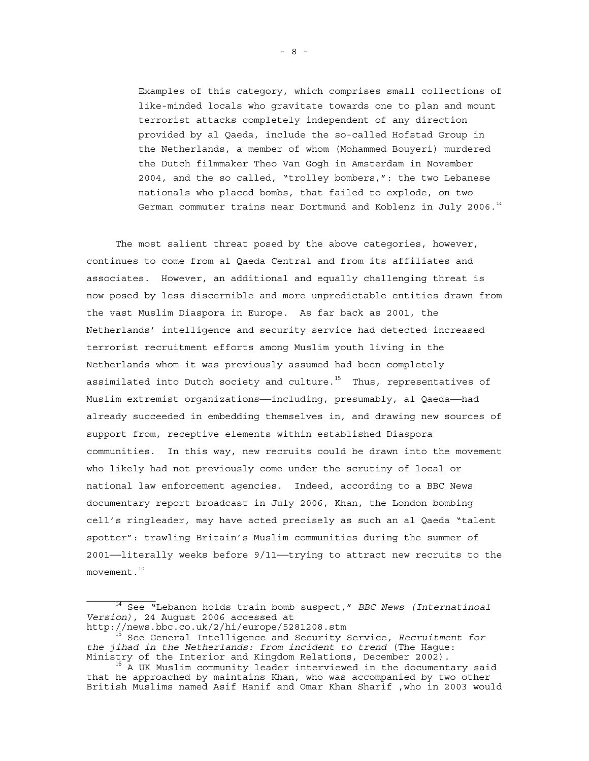Examples of this category, which comprises small collections of like-minded locals who gravitate towards one to plan and mount terrorist attacks completely independent of any direction provided by al Qaeda, include the so-called Hofstad Group in the Netherlands, a member of whom (Mohammed Bouyeri) murdered the Dutch filmmaker Theo Van Gogh in Amsterdam in November 2004, and the so called, "trolley bombers,": the two Lebanese nationals who placed bombs, that failed to explode, on two German commuter trains near Dortmund and Koblenz in July 2006. $^{\text{14}}$ 

The most salient threat posed by the above categories, however, continues to come from al Qaeda Central and from its affiliates and associates. However, an additional and equally challenging threat is now posed by less discernible and more unpredictable entities drawn from the vast Muslim Diaspora in Europe. As far back as 2001, the Netherlands' intelligence and security service had detected increased terrorist recruitment efforts among Muslim youth living in the Netherlands whom it was previously assumed had been completely assimilated into Dutch society and culture.<sup>[15](#page-7-1)</sup> Thus, representatives of Muslim extremist organizations——including, presumably, al Qaeda——had already succeeded in embedding themselves in, and drawing new sources of support from, receptive elements within established Diaspora communities. In this way, new recruits could be drawn into the movement who likely had not previously come under the scrutiny of local or national law enforcement agencies. Indeed, according to a BBC News documentary report broadcast in July 2006, Khan, the London bombing cell's ringleader, may have acted precisely as such an al Qaeda "talent spotter": trawling Britain's Muslim communities during the summer of 2001——literally weeks before 9/11——trying to attract new recruits to the movement. $16$ 

- 8 -

<span id="page-7-0"></span><sup>&</sup>lt;sup>14</sup> See "Lebanon holds train bomb suspect," *BBC News (Internatinoal Version)*, 24 August 2006 accessed at http://news.bbc.co.uk/2/hi/europe/5281208.stm<br><sup>15</sup> See General Intelligence and Security Service, Recruitment for

<span id="page-7-1"></span>*the jihad in the Netherlands: from incident to trend* (The Hague:

<span id="page-7-2"></span>Ministry of the Interior and Kingdom Relations, December 2002).<br><sup>16</sup> A UK Muslim community leader interviewed in the documentary said that he approached by maintains Khan, who was accompanied by two other British Muslims named Asif Hanif and Omar Khan Sharif ,who in 2003 would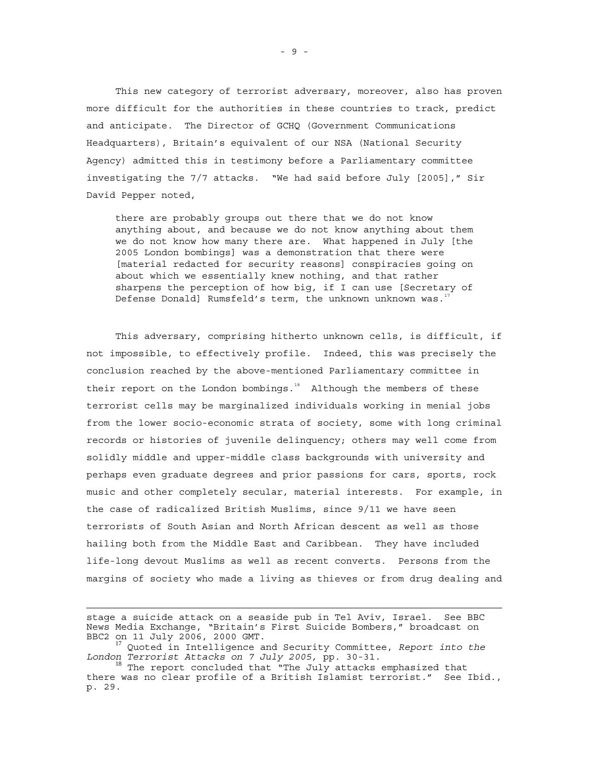This new category of terrorist adversary, moreover, also has proven more difficult for the authorities in these countries to track, predict and anticipate. The Director of GCHQ (Government Communications Headquarters), Britain's equivalent of our NSA (National Security Agency) admitted this in testimony before a Parliamentary committee investigating the 7/7 attacks. "We had said before July [2005]," Sir David Pepper noted,

there are probably groups out there that we do not know anything about, and because we do not know anything about them we do not know how many there are. What happened in July [the 2005 London bombings] was a demonstration that there were [material redacted for security reasons] conspiracies going on about which we essentially knew nothing, and that rather sharpens the perception of how big, if I can use [Secretary of Defense Donald] Rumsfeld's term, the unknown unknown was[.](#page-8-0)<sup>17</sup>

This adversary, comprising hitherto unknown cells, is difficult, if not impossible, to effectively profile. Indeed, this was precisely the conclusion reached by the above-mentioned Parliamentary committee in their report on the London bombings.<sup>18</sup> Although the members of these terrorist cells may be marginalized individuals working in menial jobs from the lower socio-economic strata of society, some with long criminal records or histories of juvenile delinquency; others may well come from solidly middle and upper-middle class backgrounds with university and perhaps even graduate degrees and prior passions for cars, sports, rock music and other completely secular, material interests. For example, in the case of radicalized British Muslims, since 9/11 we have seen terrorists of South Asian and North African descent as well as those hailing both from the Middle East and Caribbean. They have included life-long devout Muslims as well as recent converts. Persons from the margins of society who made a living as thieves or from drug dealing and

Ē,

- 9 -

stage a suicide attack on a seaside pub in Tel Aviv, Israel. See BBC News Media Exchange, "Britain's First Suicide Bombers," broadcast on BBC2 on 11 July 2006, 2000 GMT. <sup>17</sup> Quoted in Intelligence and Security Committee, *Report into the* 

<span id="page-8-0"></span>*London Terrorist Attacks on 7 July 2005,* pp. 30-31. <sup>18</sup> The report concluded that "The July attacks emphasized that

<span id="page-8-1"></span>there was no clear profile of a British Islamist terrorist." See Ibid., p. 29.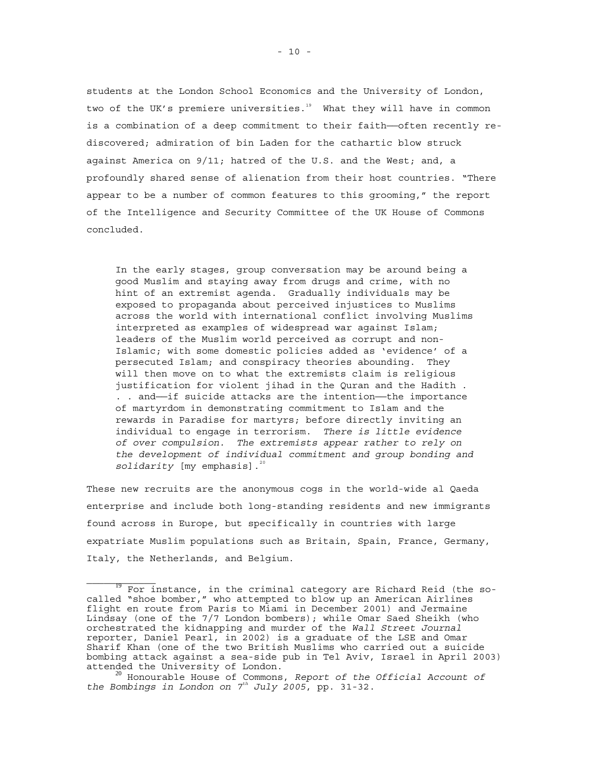students at the London School Economics and the University of London, two of the UK's premiere universities.<sup>19</sup> What they will have in common is a combination of a deep commitment to their faith-often recently rediscovered; admiration of bin Laden for the cathartic blow struck against America on 9/11; hatred of the U.S. and the West; and, a profoundly shared sense of alienation from their host countries. "There appear to be a number of common features to this grooming," the report of the Intelligence and Security Committee of the UK House of Commons concluded.

In the early stages, group conversation may be around being a good Muslim and staying away from drugs and crime, with no hint of an extremist agenda. Gradually individuals may be exposed to propaganda about perceived injustices to Muslims across the world with international conflict involving Muslims interpreted as examples of widespread war against Islam; leaders of the Muslim world perceived as corrupt and non-Islamic; with some domestic policies added as 'evidence' of a persecuted Islam; and conspiracy theories abounding. They will then move on to what the extremists claim is religious justification for violent jihad in the Quran and the Hadith . .. and-if suicide attacks are the intention--the importance of martyrdom in demonstrating commitment to Islam and the rewards in Paradise for martyrs; before directly inviting an individual to engage in terrorism. *There is little evidence of over compulsion. The extremists appear rather to rely on the development of individual commitment and group bonding and*  solidarity [my emphasis][.](#page-9-1)<sup>20</sup>

These new recruits are the anonymous cogs in the world-wide al Qaeda enterprise and include both long-standing residents and new immigrants found across in Europe, but specifically in countries with large expatriate Muslim populations such as Britain, Spain, France, Germany, Italy, the Netherlands, and Belgium.

<span id="page-9-0"></span><sup>&</sup>lt;u>p</u><br>The instance, in the criminal category are Richard Reid (the socalled "shoe bomber," who attempted to blow up an American Airlines flight en route from Paris to Miami in December 2001) and Jermaine Lindsay (one of the 7/7 London bombers); while Omar Saed Sheikh (who orchestrated the kidnapping and murder of the *Wall Street Journal* reporter, Daniel Pearl, in 2002) is a graduate of the LSE and Omar Sharif Khan (one of the two British Muslims who carried out a suicide bombing attack against a sea-side pub in Tel Aviv, Israel in April 2003)

<span id="page-9-1"></span><sup>&</sup>lt;sup>20</sup> Honourable House of Commons, *Report of the Official Account of* the Bombings in London on  $7^{th}$  July 2005, pp. 31-32.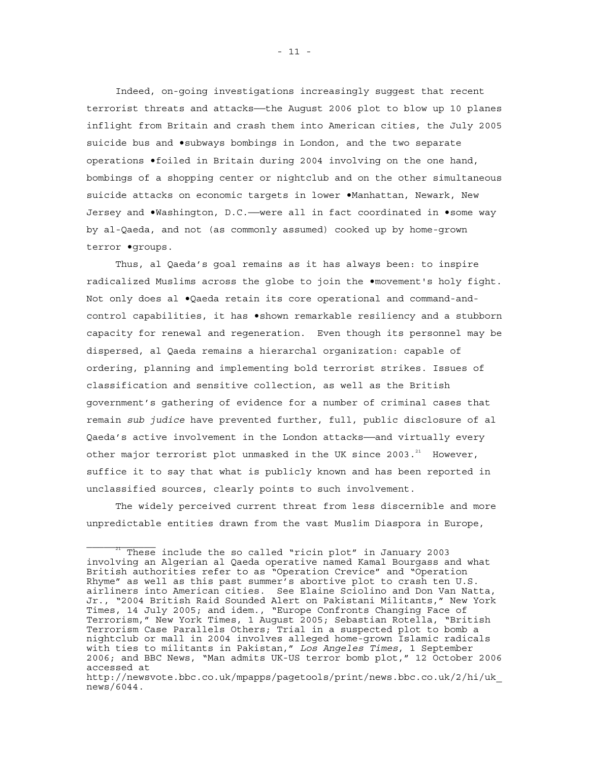Indeed, on-going investigations increasingly suggest that recent terrorist threats and attacks——the August 2006 plot to blow up 10 planes inflight from Britain and crash them into American cities, the July 2005 suicide bus and •subways bombings in London, and the two separate operations •foiled in Britain during 2004 involving on the one hand, bombings of a shopping center or nightclub and on the other simultaneous suicide attacks on economic targets in lower •Manhattan, Newark, New Jersey and •Washington, D.C.—were all in fact coordinated in •some way by al-Qaeda, and not (as commonly assumed) cooked up by home-grown terror •groups.

Thus, al Qaeda's goal remains as it has always been: to inspire radicalized Muslims across the globe to join the •movement's holy fight. Not only does al •Qaeda retain its core operational and command-andcontrol capabilities, it has •shown remarkable resiliency and a stubborn capacity for renewal and regeneration. Even though its personnel may be dispersed, al Qaeda remains a hierarchal organization: capable of ordering, planning and implementing bold terrorist strikes. Issues of classification and sensitive collection, as well as the British government's gathering of evidence for a number of criminal cases that remain *sub judice* have prevented further, full, public disclosure of al Qaeda's active involvement in the London attacks——and virtually every other major terrorist plot unmasked in the UK since 2003. $^{21}$  However, suffice it to say that what is publicly known and has been reported in unclassified sources, clearly points to such involvement.

The widely perceived current threat from less discernible and more unpredictable entities drawn from the vast Muslim Diaspora in Europe,

<span id="page-10-0"></span> $\frac{1}{2}$  These include the so called "ricin plot" in January 2003 involving an Algerian al Qaeda operative named Kamal Bourgass and what British authorities refer to as "Operation Crevice" and "Operation Rhyme" as well as this past summer's abortive plot to crash ten U.S. airliners into American cities. See Elaine Sciolino and Don Van Natta, Jr., "2004 British Raid Sounded Alert on Pakistani Militants," New York Times, 14 [July 2005](http://proquest.umi.com/pqdweb?RQT=572&VType=PQD&VName=PQD&VInst=PROD&pmid=7818&pcid=15791181&SrchMode=3); and idem., "Europe Confronts Changing Face of Terrorism," New York Times, 1 August 2005; Sebastian Rotella, "British Terrorism Case Parallels Others; Trial in a suspected plot to bomb a nightclub or mall in 2004 involves alleged home-grown Islamic radicals with ties to militants in Pakistan," *[Los Angeles Times](http://proquest.umi.com/pqdweb?RQT=318&pmid=7683&TS=1164637618&clientId=61650&VType=PQD&VName=PQD&VInst=PROD)*, 1 [September](http://proquest.umi.com/pqdweb?RQT=572&VType=PQD&VName=PQD&VInst=PROD&pmid=7683&pcid=33308581&SrchMode=3)  [2006](http://proquest.umi.com/pqdweb?RQT=572&VType=PQD&VName=PQD&VInst=PROD&pmid=7683&pcid=33308581&SrchMode=3); and BBC News, "Man admits UK-US terror bomb plot," 12 October 2006 accessed at http://newsvote.bbc.co.uk/mpapps/pagetools/print/news.bbc.co.uk/2/hi/uk\_ news/6044.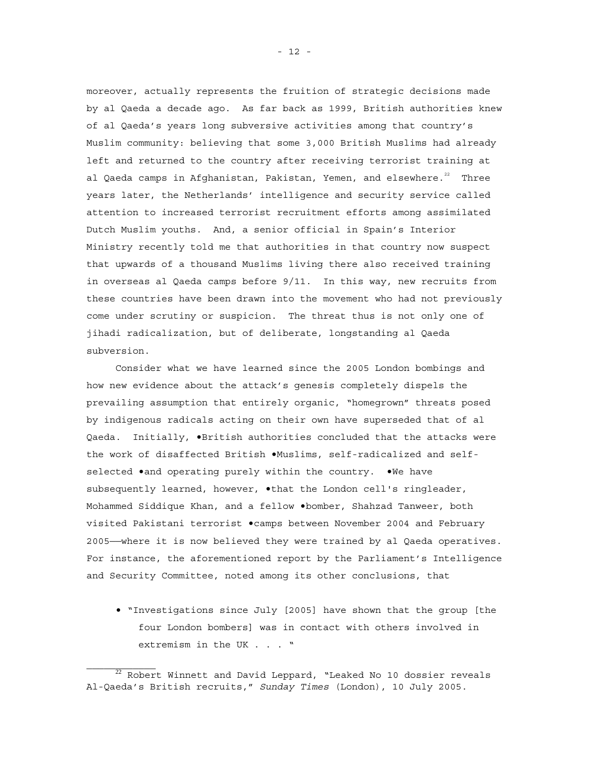moreover, actually represents the fruition of strategic decisions made by al Qaeda a decade ago. As far back as 1999, British authorities knew of al Qaeda's years long subversive activities among that country's Muslim community: believing that some 3,000 British Muslims had already left and returned to the country after receiving terrorist training at al Qaeda camps in Afghanistan, Pakistan, Yemen, and elsewhere. $22$  Three years later, the Netherlands' intelligence and security service called attention to increased terrorist recruitment efforts among assimilated Dutch Muslim youths. And, a senior official in Spain's Interior Ministry recently told me that authorities in that country now suspect that upwards of a thousand Muslims living there also received training in overseas al Qaeda camps before 9/11. In this way, new recruits from these countries have been drawn into the movement who had not previously come under scrutiny or suspicion. The threat thus is not only one of jihadi radicalization, but of deliberate, longstanding al Qaeda subversion.

Consider what we have learned since the 2005 London bombings and how new evidence about the attack's genesis completely dispels the prevailing assumption that entirely organic, "homegrown" threats posed by indigenous radicals acting on their own have superseded that of al Qaeda. Initially, •British authorities concluded that the attacks were the work of disaffected British •Muslims, self-radicalized and selfselected •and operating purely within the country. •We have subsequently learned, however, •that the London cell's ringleader, Mohammed Siddique Khan, and a fellow •bomber, Shahzad Tanweer, both visited Pakistani terrorist •camps between November 2004 and February 2005——where it is now believed they were trained by al Qaeda operatives. For instance, the aforementioned report by the Parliament's Intelligence and Security Committee, noted among its other conclusions, that

• "Investigations since July [2005] have shown that the group [the four London bombers] was in contact with others involved in extremism in the UK . . . "

<span id="page-11-0"></span> $^{\overline{22}}$  Robert Winnett and David Leppard, "Leaked No 10 dossier reveals Al-Qaeda's British recruits," *Sunday Times* (London), 10 July 2005.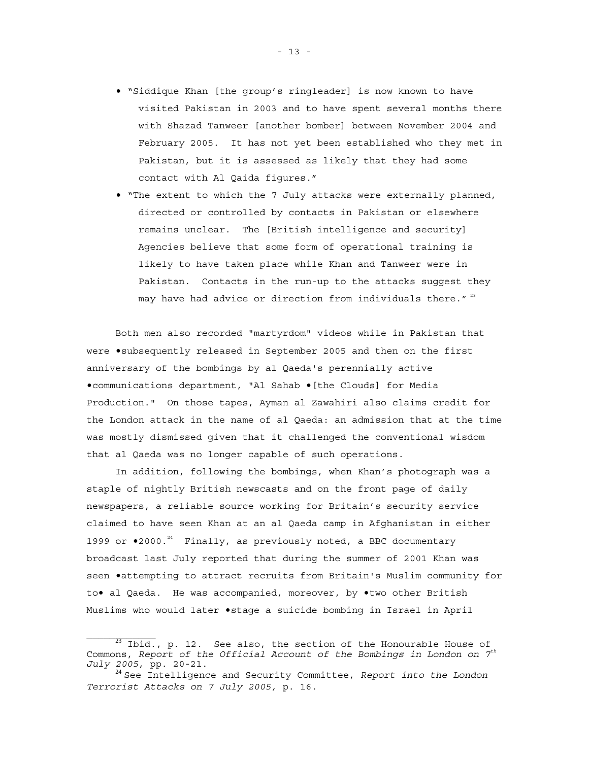- "Siddique Khan [the group's ringleader] is now known to have visited Pakistan in 2003 and to have spent several months there with Shazad Tanweer [another bomber] between November 2004 and February 2005. It has not yet been established who they met in Pakistan, but it is assessed as likely that they had some contact with Al Qaida figures."
- "The extent to which the 7 July attacks were externally planned, directed or controlled by contacts in Pakistan or elsewhere remains unclear. The [British intelligence and security] Agencies believe that some form of operational training is likely to have taken place while Khan and Tanweer were in Pakistan. Contacts in the run-up to the attacks suggest they may have had advice or direction from individuals there. $''^{23}$  $''^{23}$  $''^{23}$

Both men also recorded "martyrdom" videos while in Pakistan that were •subsequently released in September 2005 and then on the first anniversary of the bombings by al Qaeda's perennially active •communications department, "Al Sahab •[the Clouds] for Media Production." On those tapes, Ayman al Zawahiri also claims credit for the London attack in the name of al Qaeda: an admission that at the time was mostly dismissed given that it challenged the conventional wisdom that al Qaeda was no longer capable of such operations.

In addition, following the bombings, when Khan's photograph was a staple of nightly British newscasts and on the front page of daily newspapers, a reliable source working for Britain's security service claimed to have seen Khan at an al Qaeda camp in Afghanistan in either 1999 or  $\bullet$ 2000.<sup>24</sup> Finally, as previously noted, a BBC documentary broadcast last July reported that during the summer of 2001 Khan was seen •attempting to attract recruits from Britain's Muslim community for to• al Qaeda. He was accompanied, moreover, by •two other British Muslims who would later •stage a suicide bombing in Israel in April

<span id="page-12-0"></span> $\frac{23 \text{ Ibid.}}{23 \text{ Ibid.}}$ , p. 12. See also, the section of the Honourable House of Commons, *Report of the Official Account of the Bombings in London on*  $7^{th}$  July 2005, pp. 20-21.

<span id="page-12-1"></span>*July 2005,* pp. 20-21. <sup>24</sup> See Intelligence and Security Committee, *Report into the London Terrorist Attacks on 7 July 2005,* p. 16.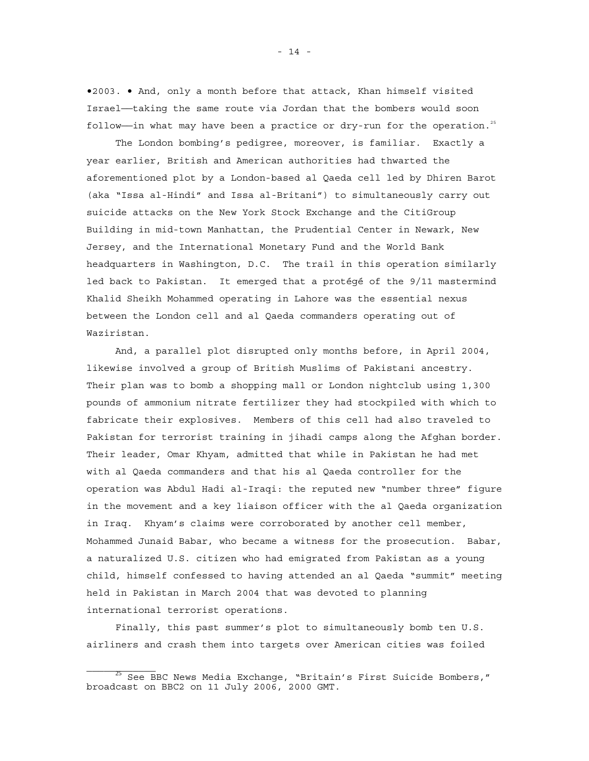•2003. • And, only a month before that attack, Khan himself visited Israel——taking the same route via Jordan that the bombers would soon follow—in what may have been a practice or dry-run for the operation.<sup>25</sup>

The London bombing's pedigree, moreover, is familiar. Exactly a year earlier, British and American authorities had thwarted the aforementioned plot by a London-based al Qaeda cell led by Dhiren Barot (aka "Issa al-Hindi" and Issa al-Britani") to simultaneously carry out suicide attacks on the New York Stock Exchange and the CitiGroup Building in mid-town Manhattan, the Prudential Center in Newark, New Jersey, and the International Monetary Fund and the World Bank headquarters in Washington, D.C. The trail in this operation similarly led back to Pakistan. It emerged that a protégé of the 9/11 mastermind Khalid Sheikh Mohammed operating in Lahore was the essential nexus between the London cell and al Qaeda commanders operating out of Waziristan.

And, a parallel plot disrupted only months before, in April 2004, likewise involved a group of British Muslims of Pakistani ancestry. Their plan was to bomb a shopping mall or London nightclub using 1,300 pounds of ammonium nitrate fertilizer they had stockpiled with which to fabricate their explosives. Members of this cell had also traveled to Pakistan for terrorist training in jihadi camps along the Afghan border. Their leader, Omar Khyam, admitted that while in Pakistan he had met with al Qaeda commanders and that his al Qaeda controller for the operation was Abdul Hadi al-Iraqi: the reputed new "number three" figure in the movement and a key liaison officer with the al Qaeda organization in Iraq. Khyam's claims were corroborated by another cell member, Mohammed Junaid Babar, who became a witness for the prosecution. Babar, a naturalized U.S. citizen who had emigrated from Pakistan as a young child, himself confessed to having attended an al Qaeda "summit" meeting held in Pakistan in March 2004 that was devoted to planning international terrorist operations.

Finally, this past summer's plot to simultaneously bomb ten U.S. airliners and crash them into targets over American cities was foiled

#### - 14 -

<span id="page-13-0"></span><sup>&</sup>lt;sup>25</sup> See BBC News Media Exchange, "Britain's First Suicide Bombers," broadcast on BBC2 on 11 July 2006, 2000 GMT.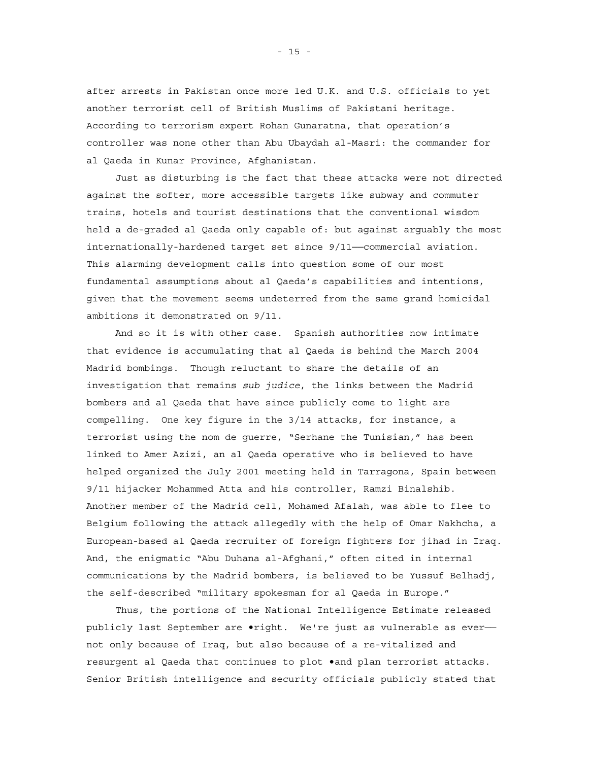after arrests in Pakistan once more led U.K. and U.S. officials to yet another terrorist cell of British Muslims of Pakistani heritage. According to terrorism expert Rohan Gunaratna, that operation's controller was none other than Abu Ubaydah al-Masri: the commander for al Qaeda in Kunar Province, Afghanistan.

Just as disturbing is the fact that these attacks were not directed against the softer, more accessible targets like subway and commuter trains, hotels and tourist destinations that the conventional wisdom held a de-graded al Qaeda only capable of: but against arguably the most internationally-hardened target set since 9/11——commercial aviation. This alarming development calls into question some of our most fundamental assumptions about al Qaeda's capabilities and intentions, given that the movement seems undeterred from the same grand homicidal ambitions it demonstrated on 9/11.

And so it is with other case. Spanish authorities now intimate that evidence is accumulating that al Qaeda is behind the March 2004 Madrid bombings. Though reluctant to share the details of an investigation that remains *sub judice*, the links between the Madrid bombers and al Qaeda that have since publicly come to light are compelling. One key figure in the 3/14 attacks, for instance, a terrorist using the nom de guerre, "Serhane the Tunisian," has been linked to Amer Azizi, an al Qaeda operative who is believed to have helped organized the July 2001 meeting held in Tarragona, Spain between 9/11 hijacker Mohammed Atta and his controller, Ramzi Binalshib. Another member of the Madrid cell, Mohamed Afalah, was able to flee to Belgium following the attack allegedly with the help of Omar Nakhcha, a European-based al Qaeda recruiter of foreign fighters for jihad in Iraq. And, the enigmatic "Abu Duhana al-Afghani," often cited in internal communications by the Madrid bombers, is believed to be Yussuf Belhadj, the self-described "military spokesman for al Qaeda in Europe."

Thus, the portions of the National Intelligence Estimate released publicly last September are •right. We're just as vulnerable as ever— not only because of Iraq, but also because of a re-vitalized and resurgent al Qaeda that continues to plot •and plan terrorist attacks. Senior British intelligence and security officials publicly stated that

 $- 15 -$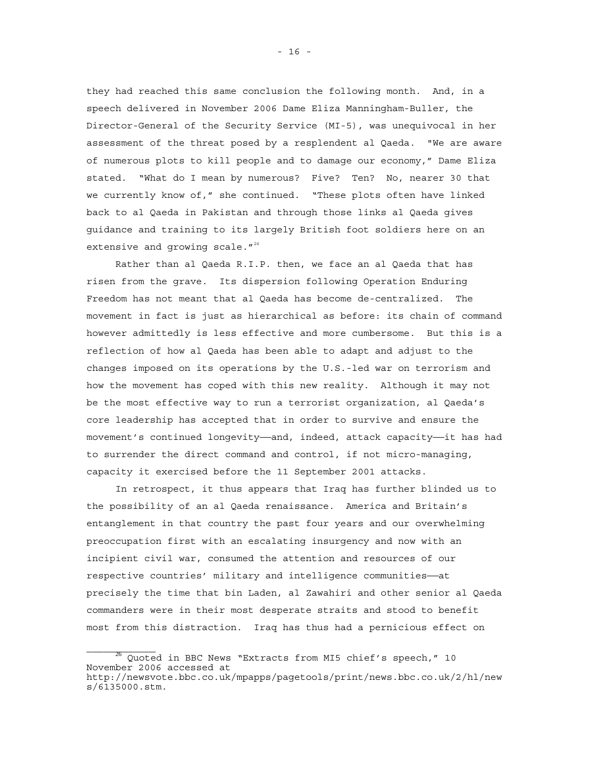they had reached this same conclusion the following month. And, in a speech delivered in November 2006 Dame Eliza Manningham-Buller, the Director-General of the Security Service (MI-5), was unequivocal in her assessment of the threat posed by a resplendent al Qaeda. "We are aware of numerous plots to kill people and to damage our economy," Dame Eliza stated. "What do I mean by numerous? Five? Ten? No, nearer 30 that we currently know of," she continued. "These plots often have linked back to al Qaeda in Pakistan and through those links al Qaeda gives guidance and training to its largely British foot soldiers here on an extensive and growing scale." $^{26}$ 

Rather than al Qaeda R.I.P. then, we face an al Qaeda that has risen from the grave. Its dispersion following Operation Enduring Freedom has not meant that al Qaeda has become de-centralized. The movement in fact is just as hierarchical as before: its chain of command however admittedly is less effective and more cumbersome. But this is a reflection of how al Qaeda has been able to adapt and adjust to the changes imposed on its operations by the U.S.-led war on terrorism and how the movement has coped with this new reality. Although it may not be the most effective way to run a terrorist organization, al Qaeda's core leadership has accepted that in order to survive and ensure the movement's continued longevity——and, indeed, attack capacity——it has had to surrender the direct command and control, if not micro-managing, capacity it exercised before the 11 September 2001 attacks.

In retrospect, it thus appears that Iraq has further blinded us to the possibility of an al Qaeda renaissance. America and Britain's entanglement in that country the past four years and our overwhelming preoccupation first with an escalating insurgency and now with an incipient civil war, consumed the attention and resources of our respective countries' military and intelligence communities——at precisely the time that bin Laden, al Zawahiri and other senior al Qaeda commanders were in their most desperate straits and stood to benefit most from this distraction. Iraq has thus had a pernicious effect on

<span id="page-15-0"></span> $\frac{26}{26}$  Quoted in BBC News "Extracts from MI5 chief's speech," 10 November 2006 accessed at http://newsvote.bbc.co.uk/mpapps/pagetools/print/news.bbc.co.uk/2/hl/new

s/6135000.stm.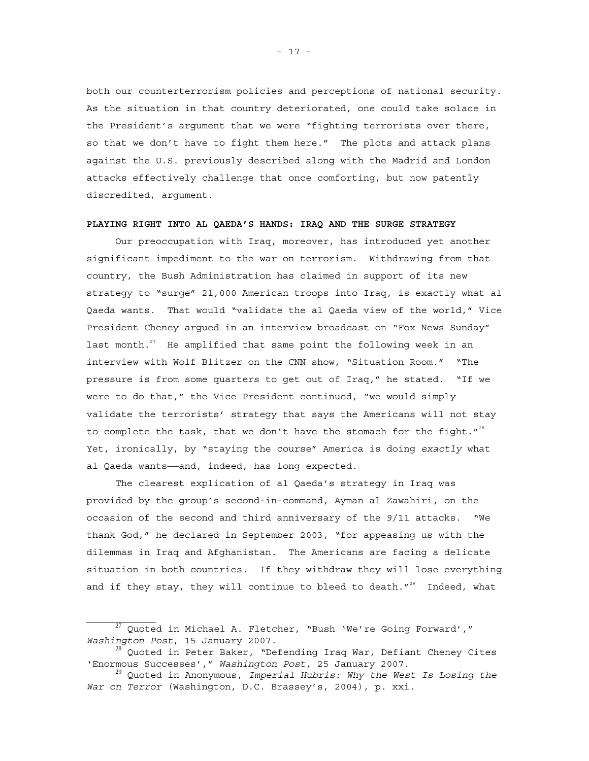both our counterterrorism policies and perceptions of national security. As the situation in that country deteriorated, one could take solace in the President's argument that we were "fighting terrorists over there, so that we don't have to fight them here." The plots and attack plans against the U.S. previously described along with the Madrid and London attacks effectively challenge that once comforting, but now patently discredited, argument.

#### **PLAYING RIGHT INTO AL QAEDA'S HANDS: IRAQ AND THE SURGE STRATEGY**

Our preoccupation with Iraq, moreover, has introduced yet another significant impediment to the war on terrorism. Withdrawing from that country, the Bush Administration has claimed in support of its new strategy to "surge" 21,000 American troops into Iraq, is exactly what al Qaeda wants. That would "validate the al Qaeda view of the world," Vice President Cheney argued in an interview broadcast on "Fox News Sunday" last month. $^{27}$  He amplified that same point the following week in an interview with Wolf Blitzer on the CNN show, "Situation Room." "The pressure is from some quarters to get out of Iraq," he stated. "If we were to do that," the Vice President continued, "we would simply validate the terrorists' strategy that says the Americans will not stay to complete the task, that we don't have the stomach for the fight." $^{28}$ Yet, ironically, by "staying the course" America is doing *exactly* what al Qaeda wants——and, indeed, has long expected.

The clearest explication of al Qaeda's strategy in Iraq was provided by the group's second-in-command, Ayman al Zawahiri, on the occasion of the second and third anniversary of the 9/11 attacks. "We thank God," he declared in September 2003, "for appeasing us with the dilemmas in Iraq and Afghanistan. The Americans are facing a delicate situation in both countries. If they withdraw they will lose everything and if they stay, they will continue to bleed to death. $^{\prime\prime\,29}$  Indeed, what

<span id="page-16-0"></span> $\frac{27}{2}$  Quoted in Michael A. Fletcher, "Bush 'We're Going Forward'," *Washington Post*, 15 January 2007.<br><sup>28</sup> Quoted in Peter Baker, "Defending Iraq War, Defiant Cheney Cites

<span id="page-16-1"></span><sup>&#</sup>x27;Enormous Successes'," *Washington Post*, 25 January 2007.

<span id="page-16-2"></span><sup>29</sup> Quoted in Anonymous, *Imperial Hubris: Why the West Is Losing the War on Terror* (Washington, D.C. Brassey's, 2004), p. xxi.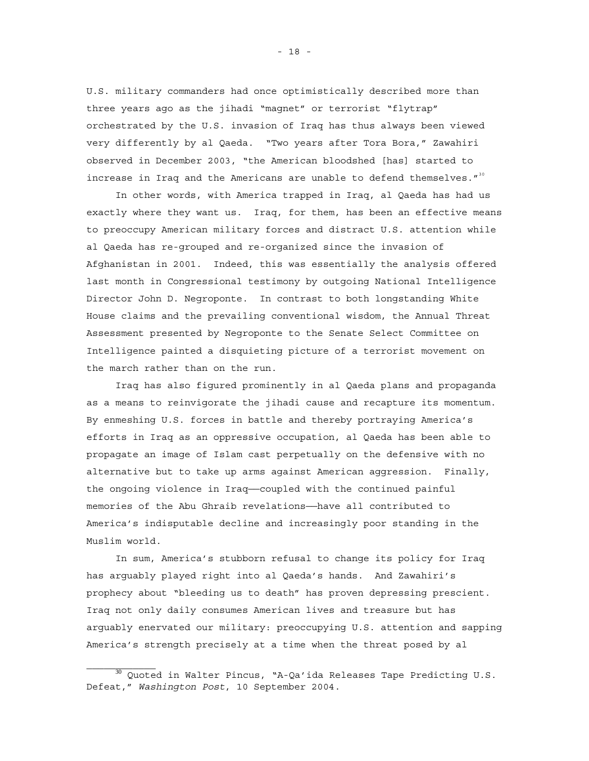U.S. military commanders had once optimistically described more than three years ago as the jihadi "magnet" or terrorist "flytrap" orchestrated by the U.S. invasion of Iraq has thus always been viewed very differently by al Qaeda. "Two years after Tora Bora," Zawahiri observed in December 2003, "the American bloodshed [has] started to increase in Iraq and the Americans are unable to defend themselves." $^{30}$ 

In other words, with America trapped in Iraq, al Qaeda has had us exactly where they want us. Iraq, for them, has been an effective means to preoccupy American military forces and distract U.S. attention while al Qaeda has re-grouped and re-organized since the invasion of Afghanistan in 2001. Indeed, this was essentially the analysis offered last month in Congressional testimony by outgoing National Intelligence Director John D. Negroponte. In contrast to both longstanding White House claims and the prevailing conventional wisdom, the Annual Threat Assessment presented by Negroponte to the Senate Select Committee on Intelligence painted a disquieting picture of a terrorist movement on the march rather than on the run.

Iraq has also figured prominently in al Qaeda plans and propaganda as a means to reinvigorate the jihadi cause and recapture its momentum. By enmeshing U.S. forces in battle and thereby portraying America's efforts in Iraq as an oppressive occupation, al Qaeda has been able to propagate an image of Islam cast perpetually on the defensive with no alternative but to take up arms against American aggression. Finally, the ongoing violence in Iraq—coupled with the continued painful memories of the Abu Ghraib revelations——have all contributed to America's indisputable decline and increasingly poor standing in the Muslim world.

In sum, America's stubborn refusal to change its policy for Iraq has arguably played right into al Qaeda's hands. And Zawahiri's prophecy about "bleeding us to death" has proven depressing prescient. Iraq not only daily consumes American lives and treasure but has arguably enervated our military: preoccupying U.S. attention and sapping America's strength precisely at a time when the threat posed by al

<span id="page-17-0"></span> $\overline{\text{30}}$  Quoted in Walter Pincus, "A-Qa'ida Releases Tape Predicting U.S. Defeat," *Washington Post*, 10 September 2004.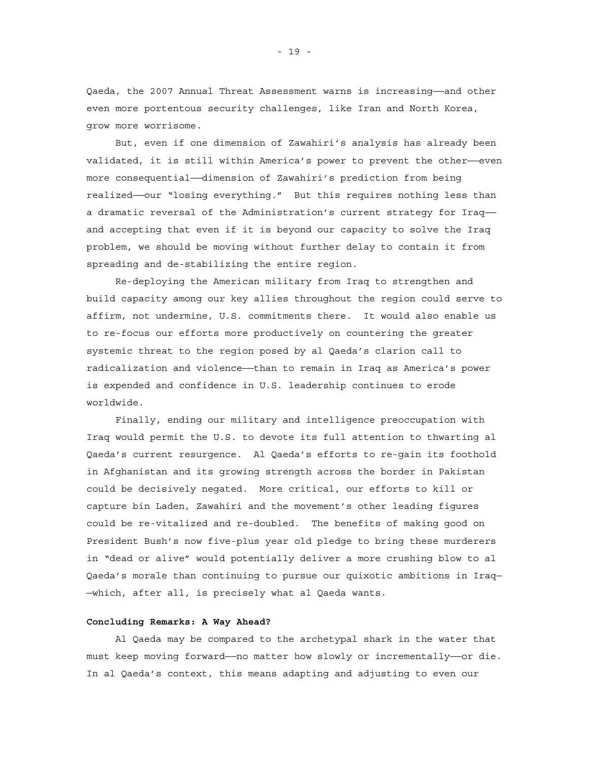Qaeda, the 2007 Annual Threat Assessment warns is increasing——and other even more portentous security challenges, like Iran and North Korea, grow more worrisome.

But, even if one dimension of Zawahiri's analysis has already been validated, it is still within America's power to prevent the other-even more consequential——dimension of Zawahiri's prediction from being realized——our "losing everything." But this requires nothing less than a dramatic reversal of the Administration's current strategy for Iraq— and accepting that even if it is beyond our capacity to solve the Iraq problem, we should be moving without further delay to contain it from spreading and de-stabilizing the entire region.

Re-deploying the American military from Iraq to strengthen and build capacity among our key allies throughout the region could serve to affirm, not undermine, U.S. commitments there. It would also enable us to re-focus our efforts more productively on countering the greater systemic threat to the region posed by al Qaeda's clarion call to radicalization and violence——than to remain in Iraq as America's power is expended and confidence in U.S. leadership continues to erode worldwide.

Finally, ending our military and intelligence preoccupation with Iraq would permit the U.S. to devote its full attention to thwarting al Qaeda's current resurgence. Al Qaeda's efforts to re-gain its foothold in Afghanistan and its growing strength across the border in Pakistan could be decisively negated. More critical, our efforts to kill or capture bin Laden, Zawahiri and the movement's other leading figures could be re-vitalized and re-doubled. The benefits of making good on President Bush's now five-plus year old pledge to bring these murderers in "dead or alive" would potentially deliver a more crushing blow to al Qaeda's morale than continuing to pursue our quixotic ambitions in Iraq— —which, after all, is precisely what al Qaeda wants.

#### **Concluding Remarks: A Way Ahead?**

Al Qaeda may be compared to the archetypal shark in the water that must keep moving forward——no matter how slowly or incrementally——or die. In al Qaeda's context, this means adapting and adjusting to even our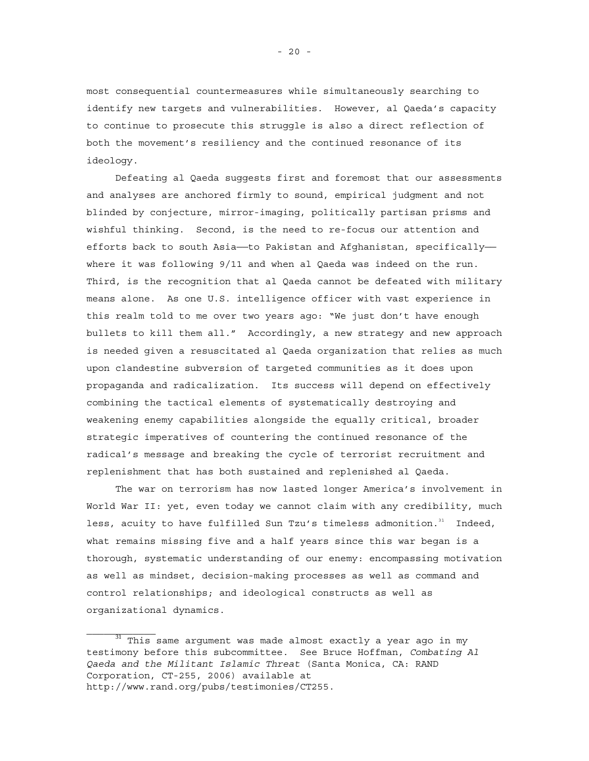most consequential countermeasures while simultaneously searching to identify new targets and vulnerabilities. However, al Qaeda's capacity to continue to prosecute this struggle is also a direct reflection of both the movement's resiliency and the continued resonance of its ideology.

Defeating al Qaeda suggests first and foremost that our assessments and analyses are anchored firmly to sound, empirical judgment and not blinded by conjecture, mirror-imaging, politically partisan prisms and wishful thinking. Second, is the need to re-focus our attention and efforts back to south Asia—to Pakistan and Afghanistan, specifically where it was following 9/11 and when al Qaeda was indeed on the run. Third, is the recognition that al Qaeda cannot be defeated with military means alone. As one U.S. intelligence officer with vast experience in this realm told to me over two years ago: "We just don't have enough bullets to kill them all." Accordingly, a new strategy and new approach is needed given a resuscitated al Qaeda organization that relies as much upon clandestine subversion of targeted communities as it does upon propaganda and radicalization. Its success will depend on effectively combining the tactical elements of systematically destroying and weakening enemy capabilities alongside the equally critical, broader strategic imperatives of countering the continued resonance of the radical's message and breaking the cycle of terrorist recruitment and replenishment that has both sustained and replenished al Qaeda.

The war on terrorism has now lasted longer America's involvement in World War II: yet, even today we cannot claim with any credibility, much less, acuity to have fulfilled Sun Tzu's timeless admonition.<sup>31</sup> Indeed, what remains missing five and a half years since this war began is a thorough, systematic understanding of our enemy: encompassing motivation as well as mindset, decision-making processes as well as command and control relationships; and ideological constructs as well as organizational dynamics.

<span id="page-19-0"></span> $_3$ <sup>1</sup> This same argument was made almost exactly a year ago in my testimony before this subcommittee. See Bruce Hoffman, *Combating Al Qaeda and the Militant Islamic Threat* (Santa Monica, CA: RAND Corporation, CT-255, 2006) available at http://www.rand.org/pubs/testimonies/CT255.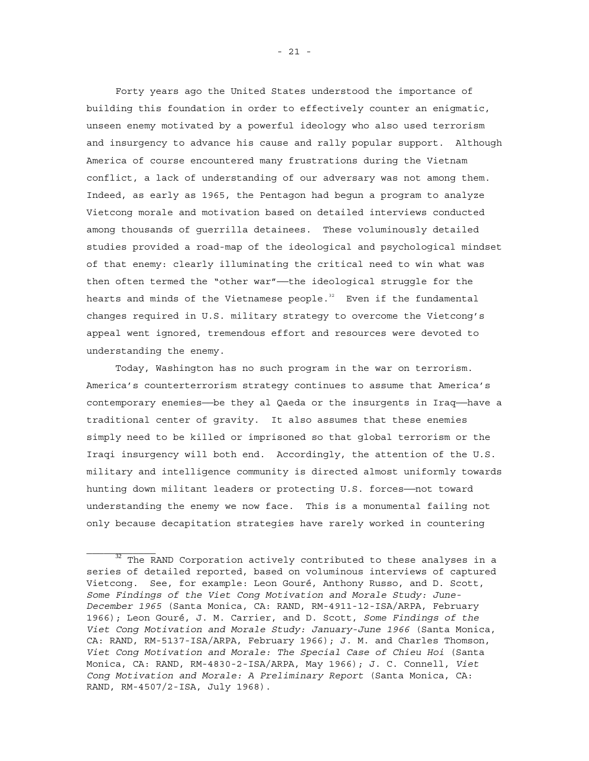Forty years ago the United States understood the importance of building this foundation in order to effectively counter an enigmatic, unseen enemy motivated by a powerful ideology who also used terrorism and insurgency to advance his cause and rally popular support. Although America of course encountered many frustrations during the Vietnam conflict, a lack of understanding of our adversary was not among them. Indeed, as early as 1965, the Pentagon had begun a program to analyze Vietcong morale and motivation based on detailed interviews conducted among thousands of guerrilla detainees. These voluminously detailed studies provided a road-map of the ideological and psychological mindset of that enemy: clearly illuminating the critical need to win what was then often termed the "other war"——the ideological struggle for the hearts and minds of the Vietnamese people. $32$  Even if the fundamental changes required in U.S. military strategy to overcome the Vietcong's appeal went ignored, tremendous effort and resources were devoted to understanding the enemy.

Today, Washington has no such program in the war on terrorism. America's counterterrorism strategy continues to assume that America's contemporary enemies——be they al Qaeda or the insurgents in Iraq——have a traditional center of gravity. It also assumes that these enemies simply need to be killed or imprisoned so that global terrorism or the Iraqi insurgency will both end. Accordingly, the attention of the U.S. military and intelligence community is directed almost uniformly towards hunting down militant leaders or protecting U.S. forces——not toward understanding the enemy we now face. This is a monumental failing not only because decapitation strategies have rarely worked in countering

<span id="page-20-0"></span> $32$  The RAND Corporation actively contributed to these analyses in a series of detailed reported, based on voluminous interviews of captured Vietcong. See, for example: Leon Gouré, Anthony Russo, and D. Scott, *Some Findings of the Viet Cong Motivation and Morale Study: June-December 1965* (Santa Monica, CA: RAND, RM-4911-12-ISA/ARPA, February 1966); Leon Gouré, J. M. Carrier, and D. Scott, *Some Findings of the Viet Cong Motivation and Morale Study: January-June 1966* (Santa Monica, CA: RAND, RM-5137-ISA/ARPA, February 1966); J. M. and Charles Thomson, *Viet Cong Motivation and Morale: The Special Case of Chieu Hoi* (Santa Monica, CA: RAND, RM-4830-2-ISA/ARPA, May 1966); J. C. Connell, *Viet Cong Motivation and Morale: A Preliminary Report* (Santa Monica, CA: RAND, RM-4507/2-ISA, July 1968).